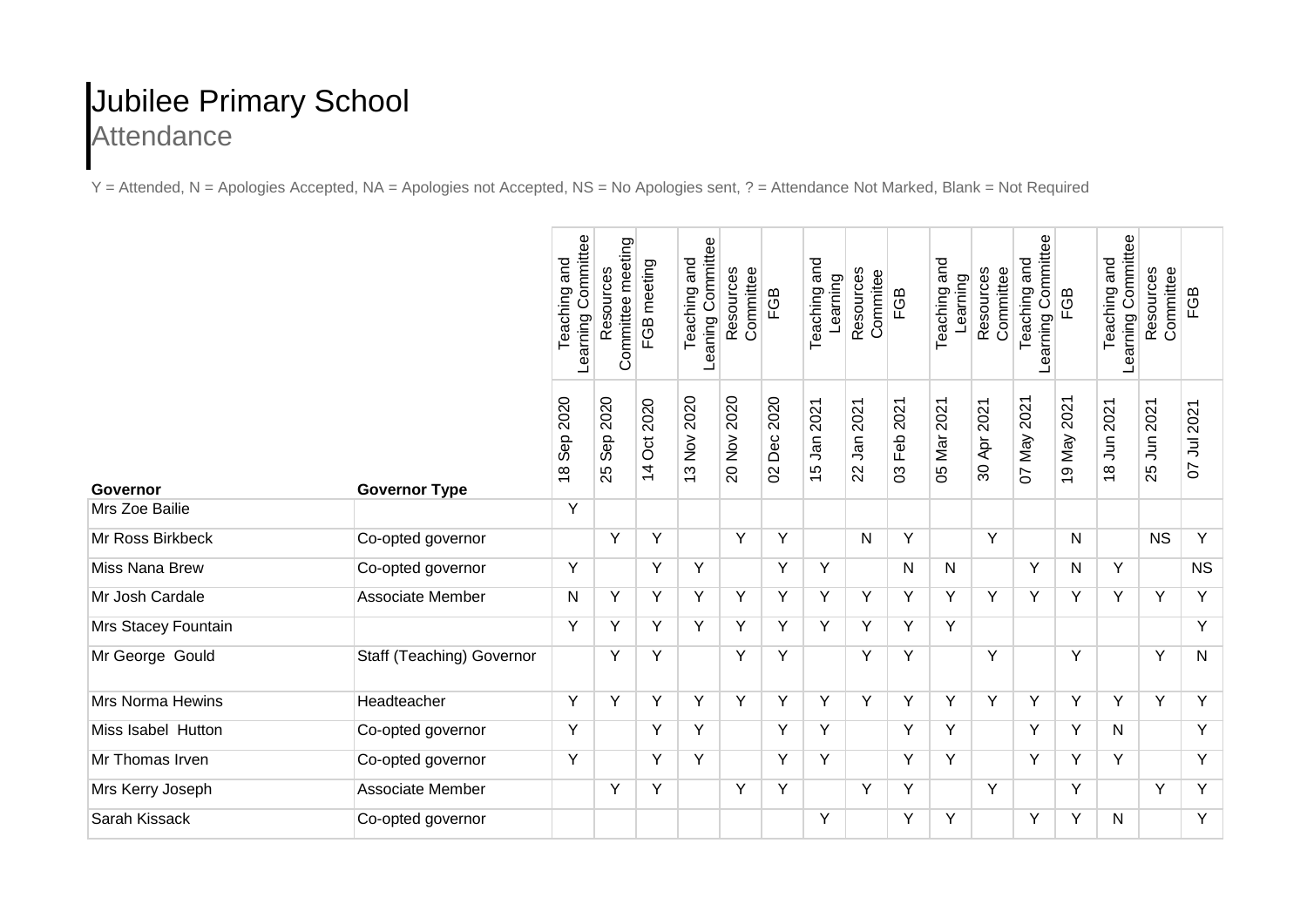## Jubilee Primary School **Attendance**

Y = Attended, N = Apologies Accepted, NA = Apologies not Accepted, NS = No Apologies sent, ? = Attendance Not Marked, Blank = Not Required

|                         |                           | Learning Committee<br>Teaching and | Committee meeting<br>Resources | FGB meeting                 | Leaning Committee<br>Teaching and                                   | Resources<br>Committee                                               | FGB                          | Teaching and<br>Learning | Resources<br>Commitee                | FGB              | Teaching and<br>Learning | Resources<br>Committee         | Learning Committee<br>and<br>Teaching | FGB            | Learning Committee<br>and<br>Teaching | Resources<br>Committee       | FGB                         |
|-------------------------|---------------------------|------------------------------------|--------------------------------|-----------------------------|---------------------------------------------------------------------|----------------------------------------------------------------------|------------------------------|--------------------------|--------------------------------------|------------------|--------------------------|--------------------------------|---------------------------------------|----------------|---------------------------------------|------------------------------|-----------------------------|
| Governor                | <b>Governor Type</b>      | 2020<br>Sep<br>$\frac{8}{1}$       | 2020<br>Sep<br>25              | 2020<br>ð<br>$\overline{4}$ | 2020<br>$\stackrel{\textstyle{>}}{\textstyle\sim}$<br>$\frac{1}{2}$ | 2020<br>$\stackrel{\textstyle{>}}{\textstyle\sim}$<br>$\overline{0}$ | 2020<br>Dec<br>$\mathcal{S}$ | 2021<br><b>Jan</b><br>15 | 2021<br><b>Jan</b><br>$\overline{2}$ | 2021<br>Feb<br>3 | 05 Mar 2021              | 2021<br>Apr<br>$\overline{30}$ | 2021<br>07 May                        | 2021<br>19 May | 2021<br>$18$ Jun                      | 2021<br>$\overline{5}$<br>25 | 2021<br>ミ<br>$\overline{O}$ |
| Mrs Zoe Bailie          |                           | Y                                  |                                |                             |                                                                     |                                                                      |                              |                          |                                      |                  |                          |                                |                                       |                |                                       |                              |                             |
| Mr Ross Birkbeck        | Co-opted governor         |                                    | Y                              | Y                           |                                                                     | Y                                                                    | Y                            |                          | N                                    | Y                |                          | Y                              |                                       | N              |                                       | <b>NS</b>                    | Y                           |
| <b>Miss Nana Brew</b>   | Co-opted governor         | Υ                                  |                                | Y                           | Y                                                                   |                                                                      | Y                            | Y                        |                                      | N                | N                        |                                | Y                                     | N              | Y                                     |                              | <b>NS</b>                   |
| Mr Josh Cardale         | Associate Member          | N                                  | Y                              | Υ                           | Y                                                                   | Y                                                                    | Y                            | Y                        | Y                                    | Y                | Y                        | Y                              | Y                                     | Y              | Y                                     | Y                            | Y                           |
| Mrs Stacey Fountain     |                           | Y                                  | Y                              | Y                           | Y                                                                   | Y                                                                    | Y                            | Y                        | Y                                    | Y                | Y                        |                                |                                       |                |                                       |                              | $\overline{Y}$              |
| Mr George Gould         | Staff (Teaching) Governor |                                    | Y                              | Υ                           |                                                                     | Y                                                                    | Y                            |                          | Υ                                    | Y                |                          | Y                              |                                       | Y              |                                       | Y                            | $\mathsf{N}$                |
| <b>Mrs Norma Hewins</b> | Headteacher               | Y                                  | Y                              | Y                           | Y                                                                   | Y                                                                    | Y                            | Y                        | Y                                    | Y                | Y                        | Y                              | Y                                     | Y              | Y                                     | Y                            | Y                           |
| Miss Isabel Hutton      | Co-opted governor         | Y                                  |                                | Y                           | Υ                                                                   |                                                                      | Y                            | Y                        |                                      | Y                | Y                        |                                | Y                                     | Y              | N                                     |                              | Y                           |
| Mr Thomas Irven         | Co-opted governor         | Y                                  |                                | Y                           | Y                                                                   |                                                                      | Y                            | Y                        |                                      | Y                | Y                        |                                | Y                                     | Y              | Y                                     |                              | $\overline{Y}$              |
| Mrs Kerry Joseph        | Associate Member          |                                    | Y                              | Y                           |                                                                     | Y                                                                    | Y                            |                          | Y                                    | Y                |                          | Y                              |                                       | Y              |                                       | Y                            | Y                           |
| Sarah Kissack           | Co-opted governor         |                                    |                                |                             |                                                                     |                                                                      |                              | Y                        |                                      | Y                | Υ                        |                                | Υ                                     | Υ              | N                                     |                              | Y                           |